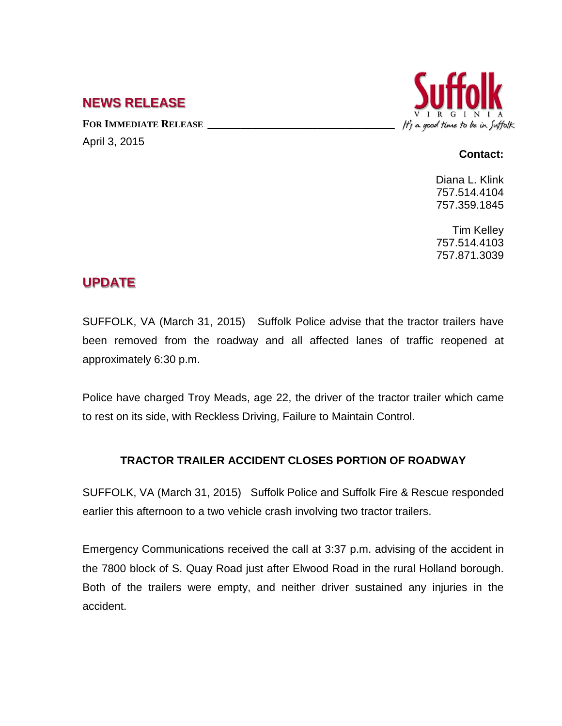## **NEWS RELEASE**

FOR **IMMEDIATE RELEASE** April 3, 2015



## **Contact:**

Diana L. Klink 757.514.4104 757.359.1845

Tim Kelley 757.514.4103 757.871.3039

## **UPDATE**

SUFFOLK, VA (March 31, 2015) Suffolk Police advise that the tractor trailers have been removed from the roadway and all affected lanes of traffic reopened at approximately 6:30 p.m.

Police have charged Troy Meads, age 22, the driver of the tractor trailer which came to rest on its side, with Reckless Driving, Failure to Maintain Control.

## **TRACTOR TRAILER ACCIDENT CLOSES PORTION OF ROADWAY**

SUFFOLK, VA (March 31, 2015) Suffolk Police and Suffolk Fire & Rescue responded earlier this afternoon to a two vehicle crash involving two tractor trailers.

Emergency Communications received the call at 3:37 p.m. advising of the accident in the 7800 block of S. Quay Road just after Elwood Road in the rural Holland borough. Both of the trailers were empty, and neither driver sustained any injuries in the accident.